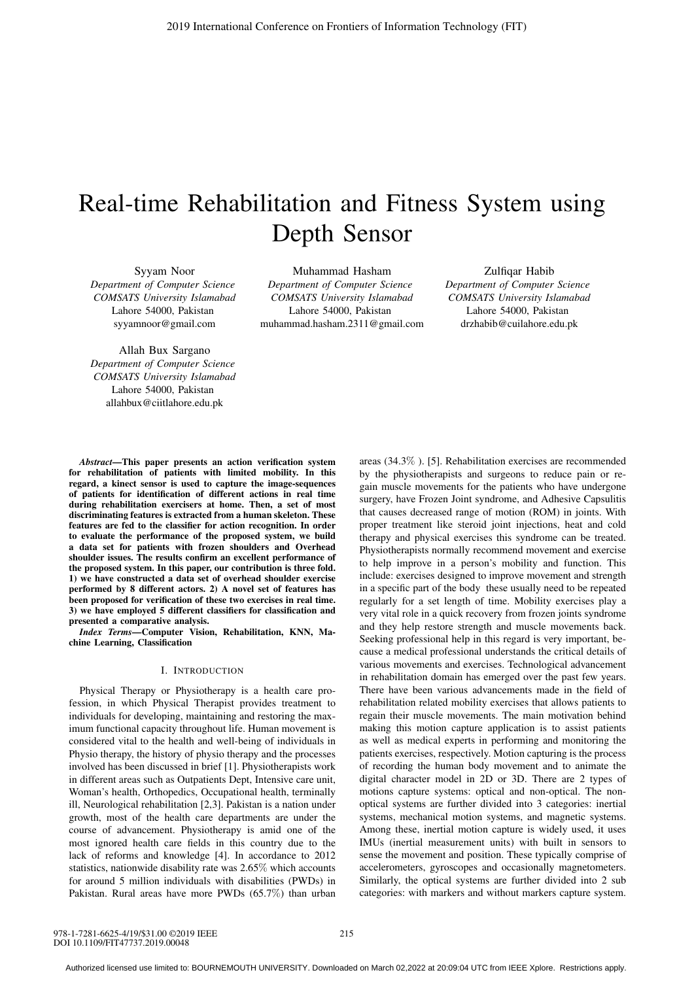# Real-time Rehabilitation and Fitness System using Depth Sensor

Syyam Noor *Department of Computer Science COMSATS University Islamabad* Lahore 54000, Pakistan syyamnoor@gmail.com

Allah Bux Sargano *Department of Computer Science COMSATS University Islamabad* Lahore 54000, Pakistan allahbux@ciitlahore.edu.pk

Muhammad Hasham *Department of Computer Science COMSATS University Islamabad* Lahore 54000, Pakistan muhammad.hasham.2311@gmail.com

Zulfiqar Habib *Department of Computer Science COMSATS University Islamabad* Lahore 54000, Pakistan drzhabib@cuilahore.edu.pk

*Abstract*—This paper presents an action verification system for rehabilitation of patients with limited mobility. In this regard, a kinect sensor is used to capture the image-sequences of patients for identification of different actions in real time during rehabilitation exercisers at home. Then, a set of most discriminating features is extracted from a human skeleton. These features are fed to the classifier for action recognition. In order to evaluate the performance of the proposed system, we build a data set for patients with frozen shoulders and Overhead shoulder issues. The results confirm an excellent performance of the proposed system. In this paper, our contribution is three fold. 1) we have constructed a data set of overhead shoulder exercise performed by 8 different actors. 2) A novel set of features has been proposed for verification of these two exercises in real time. 3) we have employed 5 different classifiers for classification and presented a comparative analysis.

*Index Terms*—Computer Vision, Rehabilitation, KNN, Machine Learning, Classification

## I. INTRODUCTION

Physical Therapy or Physiotherapy is a health care profession, in which Physical Therapist provides treatment to individuals for developing, maintaining and restoring the maximum functional capacity throughout life. Human movement is considered vital to the health and well-being of individuals in Physio therapy, the history of physio therapy and the processes involved has been discussed in brief [1]. Physiotherapists work in different areas such as Outpatients Dept, Intensive care unit, Woman's health, Orthopedics, Occupational health, terminally ill, Neurological rehabilitation [2,3]. Pakistan is a nation under growth, most of the health care departments are under the course of advancement. Physiotherapy is amid one of the most ignored health care fields in this country due to the lack of reforms and knowledge [4]. In accordance to 2012 statistics, nationwide disability rate was 2.65% which accounts for around 5 million individuals with disabilities (PWDs) in Pakistan. Rural areas have more PWDs (65.7%) than urban

areas (34.3% ). [5]. Rehabilitation exercises are recommended by the physiotherapists and surgeons to reduce pain or regain muscle movements for the patients who have undergone surgery, have Frozen Joint syndrome, and Adhesive Capsulitis that causes decreased range of motion (ROM) in joints. With proper treatment like steroid joint injections, heat and cold therapy and physical exercises this syndrome can be treated. Physiotherapists normally recommend movement and exercise to help improve in a person's mobility and function. This include: exercises designed to improve movement and strength in a specific part of the body these usually need to be repeated regularly for a set length of time. Mobility exercises play a very vital role in a quick recovery from frozen joints syndrome and they help restore strength and muscle movements back. Seeking professional help in this regard is very important, because a medical professional understands the critical details of various movements and exercises. Technological advancement in rehabilitation domain has emerged over the past few years. There have been various advancements made in the field of rehabilitation related mobility exercises that allows patients to regain their muscle movements. The main motivation behind making this motion capture application is to assist patients as well as medical experts in performing and monitoring the patients exercises, respectively. Motion capturing is the process of recording the human body movement and to animate the digital character model in 2D or 3D. There are 2 types of motions capture systems: optical and non-optical. The nonoptical systems are further divided into 3 categories: inertial systems, mechanical motion systems, and magnetic systems. Among these, inertial motion capture is widely used, it uses IMUs (inertial measurement units) with built in sensors to sense the movement and position. These typically comprise of accelerometers, gyroscopes and occasionally magnetometers. Similarly, the optical systems are further divided into 2 sub categories: with markers and without markers capture system.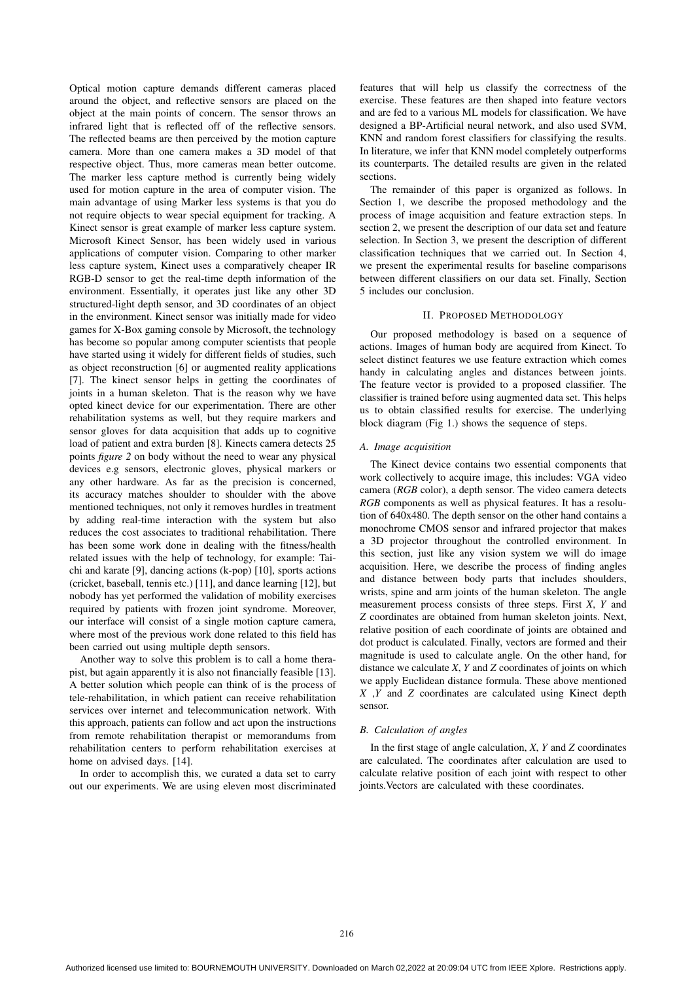Optical motion capture demands different cameras placed around the object, and reflective sensors are placed on the object at the main points of concern. The sensor throws an infrared light that is reflected off of the reflective sensors. The reflected beams are then perceived by the motion capture camera. More than one camera makes a 3D model of that respective object. Thus, more cameras mean better outcome. The marker less capture method is currently being widely used for motion capture in the area of computer vision. The main advantage of using Marker less systems is that you do not require objects to wear special equipment for tracking. A Kinect sensor is great example of marker less capture system. Microsoft Kinect Sensor, has been widely used in various applications of computer vision. Comparing to other marker less capture system, Kinect uses a comparatively cheaper IR RGB-D sensor to get the real-time depth information of the environment. Essentially, it operates just like any other 3D structured-light depth sensor, and 3D coordinates of an object in the environment. Kinect sensor was initially made for video games for X-Box gaming console by Microsoft, the technology has become so popular among computer scientists that people have started using it widely for different fields of studies, such as object reconstruction [6] or augmented reality applications [7]. The kinect sensor helps in getting the coordinates of joints in a human skeleton. That is the reason why we have opted kinect device for our experimentation. There are other rehabilitation systems as well, but they require markers and sensor gloves for data acquisition that adds up to cognitive load of patient and extra burden [8]. Kinects camera detects 25 points *figure 2* on body without the need to wear any physical devices e.g sensors, electronic gloves, physical markers or any other hardware. As far as the precision is concerned, its accuracy matches shoulder to shoulder with the above mentioned techniques, not only it removes hurdles in treatment by adding real-time interaction with the system but also reduces the cost associates to traditional rehabilitation. There has been some work done in dealing with the fitness/health related issues with the help of technology, for example: Taichi and karate [9], dancing actions (k-pop) [10], sports actions (cricket, baseball, tennis etc.) [11], and dance learning [12], but nobody has yet performed the validation of mobility exercises required by patients with frozen joint syndrome. Moreover, our interface will consist of a single motion capture camera, where most of the previous work done related to this field has been carried out using multiple depth sensors.

Another way to solve this problem is to call a home therapist, but again apparently it is also not financially feasible [13]. A better solution which people can think of is the process of tele-rehabilitation, in which patient can receive rehabilitation services over internet and telecommunication network. With this approach, patients can follow and act upon the instructions from remote rehabilitation therapist or memorandums from rehabilitation centers to perform rehabilitation exercises at home on advised days. [14].

In order to accomplish this, we curated a data set to carry out our experiments. We are using eleven most discriminated features that will help us classify the correctness of the exercise. These features are then shaped into feature vectors and are fed to a various ML models for classification. We have designed a BP-Artificial neural network, and also used SVM, KNN and random forest classifiers for classifying the results. In literature, we infer that KNN model completely outperforms its counterparts. The detailed results are given in the related sections.

The remainder of this paper is organized as follows. In Section 1, we describe the proposed methodology and the process of image acquisition and feature extraction steps. In section 2, we present the description of our data set and feature selection. In Section 3, we present the description of different classification techniques that we carried out. In Section 4, we present the experimental results for baseline comparisons between different classifiers on our data set. Finally, Section 5 includes our conclusion.

#### II. PROPOSED METHODOLOGY

Our proposed methodology is based on a sequence of actions. Images of human body are acquired from Kinect. To select distinct features we use feature extraction which comes handy in calculating angles and distances between joints. The feature vector is provided to a proposed classifier. The classifier is trained before using augmented data set. This helps us to obtain classified results for exercise. The underlying block diagram (Fig 1.) shows the sequence of steps.

#### *A. Image acquisition*

The Kinect device contains two essential components that work collectively to acquire image, this includes: VGA video camera (*RGB* color), a depth sensor. The video camera detects *RGB* components as well as physical features. It has a resolution of 640x480. The depth sensor on the other hand contains a monochrome CMOS sensor and infrared projector that makes a 3D projector throughout the controlled environment. In this section, just like any vision system we will do image acquisition. Here, we describe the process of finding angles and distance between body parts that includes shoulders, wrists, spine and arm joints of the human skeleton. The angle measurement process consists of three steps. First *X*, *Y* and *Z* coordinates are obtained from human skeleton joints. Next, relative position of each coordinate of joints are obtained and dot product is calculated. Finally, vectors are formed and their magnitude is used to calculate angle. On the other hand, for distance we calculate *X*, *Y* and *Z* coordinates of joints on which we apply Euclidean distance formula. These above mentioned *X* ,*Y* and *Z* coordinates are calculated using Kinect depth sensor.

### *B. Calculation of angles*

In the first stage of angle calculation, *X*, *Y* and *Z* coordinates are calculated. The coordinates after calculation are used to calculate relative position of each joint with respect to other joints.Vectors are calculated with these coordinates.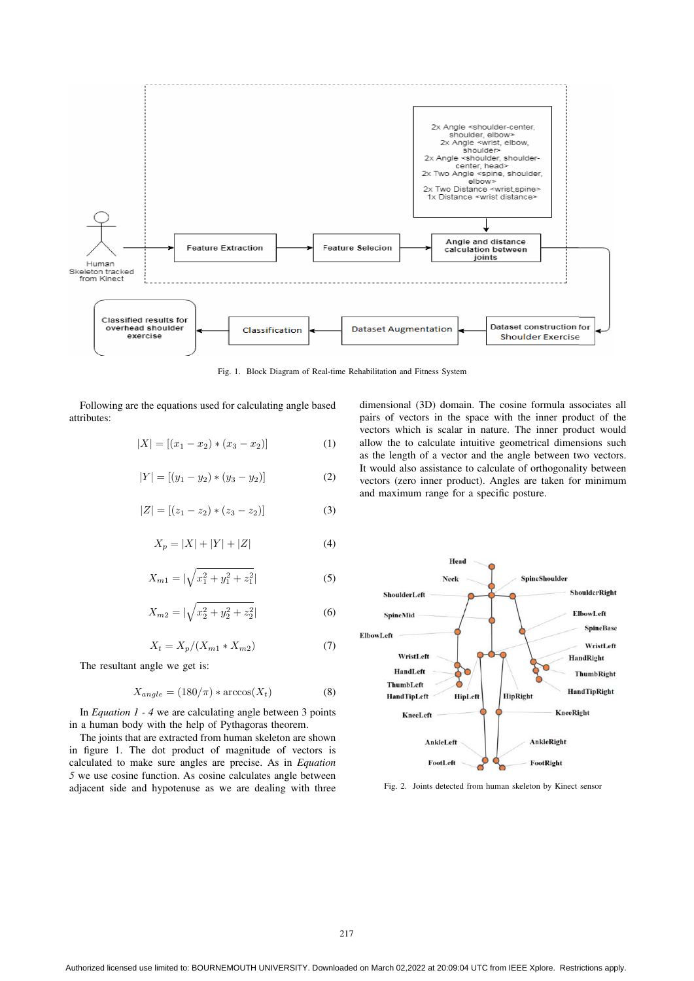

Fig. 1. Block Diagram of Real-time Rehabilitation and Fitness System

Following are the equations used for calculating angle based attributes:

$$
|X| = [(x_1 - x_2) * (x_3 - x_2)] \tag{1}
$$

$$
|Y| = [(y_1 - y_2) * (y_3 - y_2)] \tag{2}
$$

$$
|Z| = [(z_1 - z_2) * (z_3 - z_2)] \tag{3}
$$

$$
X_p = |X| + |Y| + |Z| \tag{4}
$$

$$
X_{m1} = |\sqrt{x_1^2 + y_1^2 + z_1^2}| \tag{5}
$$

$$
X_{m2} = |\sqrt{x_2^2 + y_2^2 + z_2^2}| \tag{6}
$$

$$
X_t = X_p / (X_{m1} * X_{m2})
$$
 (7)

The resultant angle we get is:

$$
X_{angle} = (180/\pi) * \arccos(X_t)
$$
 (8)

In *Equation 1 - 4* we are calculating angle between 3 points in a human body with the help of Pythagoras theorem.

The joints that are extracted from human skeleton are shown in figure 1. The dot product of magnitude of vectors is calculated to make sure angles are precise. As in *Equation 5* we use cosine function. As cosine calculates angle between adjacent side and hypotenuse as we are dealing with three

dimensional (3D) domain. The cosine formula associates all pairs of vectors in the space with the inner product of the vectors which is scalar in nature. The inner product would allow the to calculate intuitive geometrical dimensions such as the length of a vector and the angle between two vectors. It would also assistance to calculate of orthogonality between vectors (zero inner product). Angles are taken for minimum and maximum range for a specific posture.



Fig. 2. Joints detected from human skeleton by Kinect sensor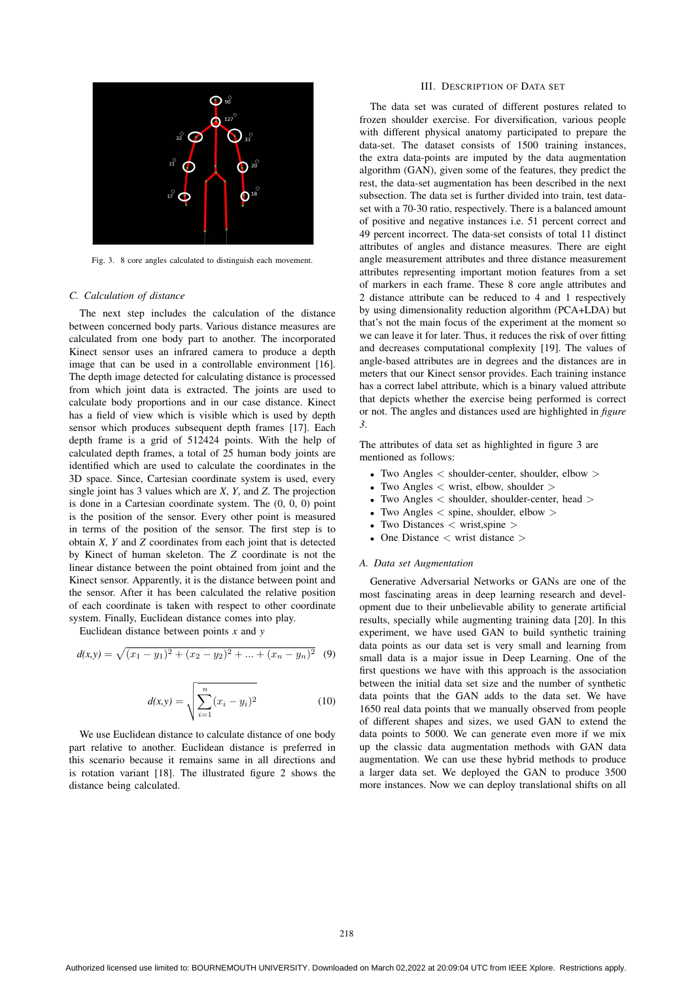

Fig. 3. 8 core angles calculated to distinguish each movement.

#### *C. Calculation of distance*

The next step includes the calculation of the distance between concerned body parts. Various distance measures are calculated from one body part to another. The incorporated Kinect sensor uses an infrared camera to produce a depth image that can be used in a controllable environment [16]. The depth image detected for calculating distance is processed from which joint data is extracted. The joints are used to calculate body proportions and in our case distance. Kinect has a field of view which is visible which is used by depth sensor which produces subsequent depth frames [17]. Each depth frame is a grid of 512424 points. With the help of calculated depth frames, a total of 25 human body joints are identified which are used to calculate the coordinates in the 3D space. Since, Cartesian coordinate system is used, every single joint has 3 values which are *X*, *Y*, and *Z*. The projection is done in a Cartesian coordinate system. The (0, 0, 0) point is the position of the sensor. Every other point is measured in terms of the position of the sensor. The first step is to obtain *X*, *Y* and *Z* coordinates from each joint that is detected by Kinect of human skeleton. The *Z* coordinate is not the linear distance between the point obtained from joint and the Kinect sensor. Apparently, it is the distance between point and the sensor. After it has been calculated the relative position of each coordinate is taken with respect to other coordinate system. Finally, Euclidean distance comes into play.

Euclidean distance between points *x* and *y*

$$
d(x,y) = \sqrt{(x_1 - y_1)^2 + (x_2 - y_2)^2 + \dots + (x_n - y_n)^2}
$$
 (9)

$$
d(x,y) = \sqrt{\sum_{i=1}^{n} (x_i - y_i)^2}
$$
 (10)

We use Euclidean distance to calculate distance of one body part relative to another. Euclidean distance is preferred in this scenario because it remains same in all directions and is rotation variant [18]. The illustrated figure 2 shows the distance being calculated.

## III. DESCRIPTION OF DATA SET

The data set was curated of different postures related to frozen shoulder exercise. For diversification, various people with different physical anatomy participated to prepare the data-set. The dataset consists of 1500 training instances, the extra data-points are imputed by the data augmentation algorithm (GAN), given some of the features, they predict the rest, the data-set augmentation has been described in the next subsection. The data set is further divided into train, test dataset with a 70-30 ratio, respectively. There is a balanced amount of positive and negative instances i.e. 51 percent correct and 49 percent incorrect. The data-set consists of total 11 distinct attributes of angles and distance measures. There are eight angle measurement attributes and three distance measurement attributes representing important motion features from a set of markers in each frame. These 8 core angle attributes and 2 distance attribute can be reduced to 4 and 1 respectively by using dimensionality reduction algorithm (PCA+LDA) but that's not the main focus of the experiment at the moment so we can leave it for later. Thus, it reduces the risk of over fitting and decreases computational complexity [19]. The values of angle-based attributes are in degrees and the distances are in meters that our Kinect sensor provides. Each training instance has a correct label attribute, which is a binary valued attribute that depicts whether the exercise being performed is correct or not. The angles and distances used are highlighted in *figure 3*.

The attributes of data set as highlighted in figure 3 are mentioned as follows:

- Two Angles  $\lt$  shoulder-center, shoulder, elbow  $>$
- Two Angles  $\lt$  wrist, elbow, shoulder  $>$
- Two Angles < shoulder, shoulder-center, head >
- Two Angles  $\lt$  spine, shoulder, elbow  $>$
- Two Distances  $\langle$  wrist, spine  $\rangle$
- One Distance  $\langle$  wrist distance  $\rangle$

#### *A. Data set Augmentation*

Generative Adversarial Networks or GANs are one of the most fascinating areas in deep learning research and development due to their unbelievable ability to generate artificial results, specially while augmenting training data [20]. In this experiment, we have used GAN to build synthetic training data points as our data set is very small and learning from small data is a major issue in Deep Learning. One of the first questions we have with this approach is the association between the initial data set size and the number of synthetic data points that the GAN adds to the data set. We have 1650 real data points that we manually observed from people of different shapes and sizes, we used GAN to extend the data points to 5000. We can generate even more if we mix up the classic data augmentation methods with GAN data augmentation. We can use these hybrid methods to produce a larger data set. We deployed the GAN to produce 3500 more instances. Now we can deploy translational shifts on all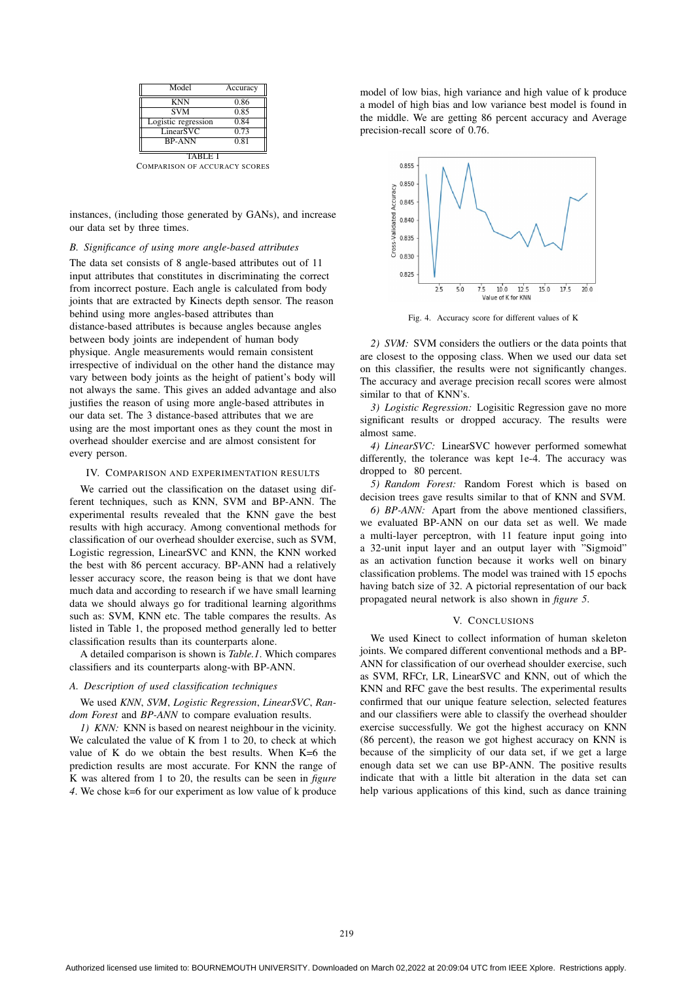| Model               | Accuracy |
|---------------------|----------|
| <b>KNN</b>          | 0.86     |
| <b>SVM</b>          | 0.85     |
| Logistic regression | 0.84     |
| LinearSVC           | 0.73     |
| <b>BP-ANN</b>       | 0.81     |
| TABLE I             |          |

COMPARISON OF ACCURACY SCORES

instances, (including those generated by GANs), and increase our data set by three times.

### *B. Significance of using more angle-based attributes*

The data set consists of 8 angle-based attributes out of 11 input attributes that constitutes in discriminating the correct from incorrect posture. Each angle is calculated from body joints that are extracted by Kinects depth sensor. The reason behind using more angles-based attributes than distance-based attributes is because angles because angles between body joints are independent of human body physique. Angle measurements would remain consistent irrespective of individual on the other hand the distance may vary between body joints as the height of patient's body will not always the same. This gives an added advantage and also justifies the reason of using more angle-based attributes in our data set. The 3 distance-based attributes that we are using are the most important ones as they count the most in overhead shoulder exercise and are almost consistent for every person.

#### IV. COMPARISON AND EXPERIMENTATION RESULTS

We carried out the classification on the dataset using different techniques, such as KNN, SVM and BP-ANN. The experimental results revealed that the KNN gave the best results with high accuracy. Among conventional methods for classification of our overhead shoulder exercise, such as SVM, Logistic regression, LinearSVC and KNN, the KNN worked the best with 86 percent accuracy. BP-ANN had a relatively lesser accuracy score, the reason being is that we dont have much data and according to research if we have small learning data we should always go for traditional learning algorithms such as: SVM, KNN etc. The table compares the results. As listed in Table 1, the proposed method generally led to better classification results than its counterparts alone.

A detailed comparison is shown is *Table.1*. Which compares classifiers and its counterparts along-with BP-ANN.

#### *A. Description of used classification techniques*

We used *KNN*, *SVM*, *Logistic Regression*, *LinearSVC*, *Random Forest* and *BP-ANN* to compare evaluation results.

*1) KNN:* KNN is based on nearest neighbour in the vicinity. We calculated the value of K from 1 to 20, to check at which value of K do we obtain the best results. When K=6 the prediction results are most accurate. For KNN the range of K was altered from 1 to 20, the results can be seen in *figure 4*. We chose k=6 for our experiment as low value of k produce

model of low bias, high variance and high value of k produce a model of high bias and low variance best model is found in the middle. We are getting 86 percent accuracy and Average precision-recall score of 0.76.



Fig. 4. Accuracy score for different values of K

*2) SVM:* SVM considers the outliers or the data points that are closest to the opposing class. When we used our data set on this classifier, the results were not significantly changes. The accuracy and average precision recall scores were almost similar to that of KNN's.

*3) Logistic Regression:* Logisitic Regression gave no more significant results or dropped accuracy. The results were almost same.

*4) LinearSVC:* LinearSVC however performed somewhat differently, the tolerance was kept 1e-4. The accuracy was dropped to 80 percent.

*5) Random Forest:* Random Forest which is based on decision trees gave results similar to that of KNN and SVM.

*6) BP-ANN:* Apart from the above mentioned classifiers, we evaluated BP-ANN on our data set as well. We made a multi-layer perceptron, with 11 feature input going into a 32-unit input layer and an output layer with "Sigmoid" as an activation function because it works well on binary classification problems. The model was trained with 15 epochs having batch size of 32. A pictorial representation of our back propagated neural network is also shown in *figure 5*.

#### V. CONCLUSIONS

We used Kinect to collect information of human skeleton joints. We compared different conventional methods and a BP-ANN for classification of our overhead shoulder exercise, such as SVM, RFCr, LR, LinearSVC and KNN, out of which the KNN and RFC gave the best results. The experimental results confirmed that our unique feature selection, selected features and our classifiers were able to classify the overhead shoulder exercise successfully. We got the highest accuracy on KNN (86 percent), the reason we got highest accuracy on KNN is because of the simplicity of our data set, if we get a large enough data set we can use BP-ANN. The positive results indicate that with a little bit alteration in the data set can help various applications of this kind, such as dance training